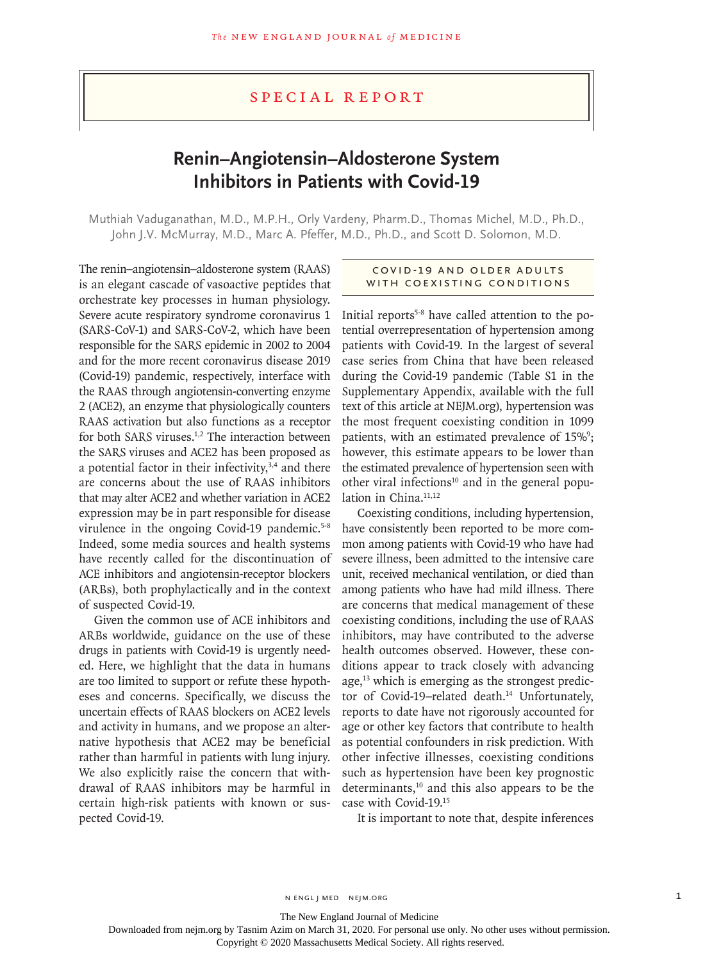## Special Report

# **Renin–Angiotensin–Aldosterone System Inhibitors in Patients with Covid-19**

Muthiah Vaduganathan, M.D., M.P.H., Orly Vardeny, Pharm.D., Thomas Michel, M.D., Ph.D., John J.V. McMurray, M.D., Marc A. Pfeffer, M.D., Ph.D., and Scott D. Solomon, M.D.

The renin–angiotensin–aldosterone system (RAAS) is an elegant cascade of vasoactive peptides that orchestrate key processes in human physiology. Severe acute respiratory syndrome coronavirus 1 (SARS-CoV-1) and SARS-CoV-2, which have been responsible for the SARS epidemic in 2002 to 2004 and for the more recent coronavirus disease 2019 (Covid-19) pandemic, respectively, interface with the RAAS through angiotensin-converting enzyme 2 (ACE2), an enzyme that physiologically counters RAAS activation but also functions as a receptor for both SARS viruses.<sup>1,2</sup> The interaction between the SARS viruses and ACE2 has been proposed as a potential factor in their infectivity,<sup>3,4</sup> and there are concerns about the use of RAAS inhibitors that may alter ACE2 and whether variation in ACE2 expression may be in part responsible for disease virulence in the ongoing Covid-19 pandemic.<sup>5-8</sup> Indeed, some media sources and health systems have recently called for the discontinuation of ACE inhibitors and angiotensin-receptor blockers (ARBs), both prophylactically and in the context of suspected Covid-19.

Given the common use of ACE inhibitors and ARBs worldwide, guidance on the use of these drugs in patients with Covid-19 is urgently needed. Here, we highlight that the data in humans are too limited to support or refute these hypotheses and concerns. Specifically, we discuss the uncertain effects of RAAS blockers on ACE2 levels and activity in humans, and we propose an alternative hypothesis that ACE2 may be beneficial rather than harmful in patients with lung injury. We also explicitly raise the concern that withdrawal of RAAS inhibitors may be harmful in certain high-risk patients with known or suspected Covid-19.

### Covid -19 and Older Adults with Coexisting Conditions

Initial reports<sup>5-8</sup> have called attention to the potential overrepresentation of hypertension among patients with Covid-19. In the largest of several case series from China that have been released during the Covid-19 pandemic (Table S1 in the Supplementary Appendix, available with the full text of this article at NEJM.org), hypertension was the most frequent coexisting condition in 1099 patients, with an estimated prevalence of 15%<sup>9</sup>; however, this estimate appears to be lower than the estimated prevalence of hypertension seen with other viral infections<sup>10</sup> and in the general population in China.<sup>11,12</sup>

Coexisting conditions, including hypertension, have consistently been reported to be more common among patients with Covid-19 who have had severe illness, been admitted to the intensive care unit, received mechanical ventilation, or died than among patients who have had mild illness. There are concerns that medical management of these coexisting conditions, including the use of RAAS inhibitors, may have contributed to the adverse health outcomes observed. However, these conditions appear to track closely with advancing age, $13$  which is emerging as the strongest predictor of Covid-19-related death.<sup>14</sup> Unfortunately, reports to date have not rigorously accounted for age or other key factors that contribute to health as potential confounders in risk prediction. With other infective illnesses, coexisting conditions such as hypertension have been key prognostic determinants,<sup>10</sup> and this also appears to be the case with Covid-19.15

It is important to note that, despite inferences

The New England Journal of Medicine

Downloaded from nejm.org by Tasnim Azim on March 31, 2020. For personal use only. No other uses without permission.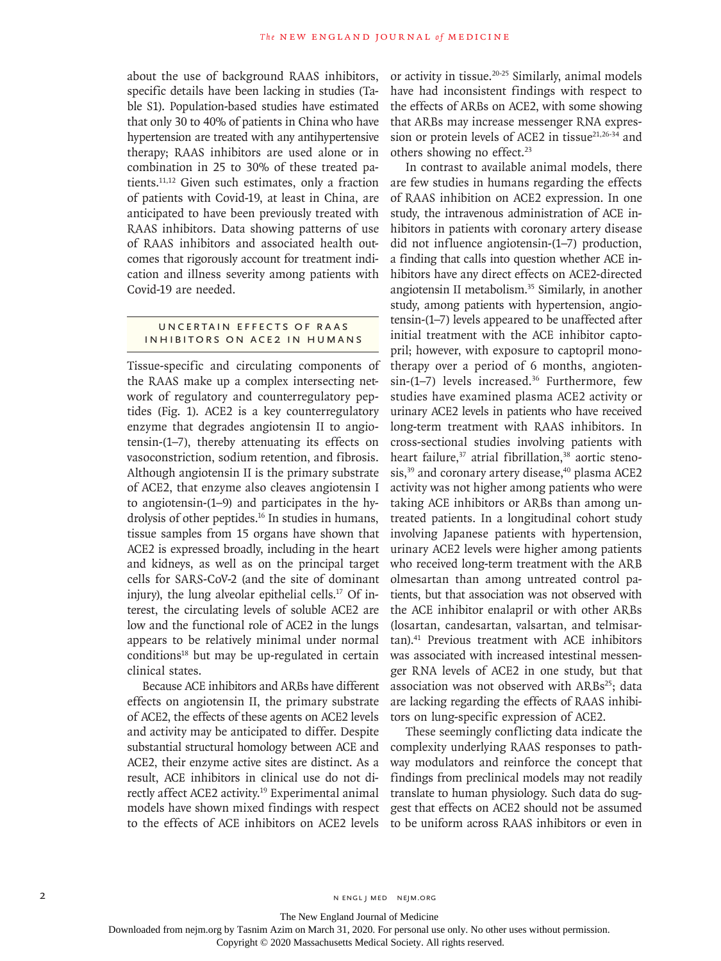about the use of background RAAS inhibitors, specific details have been lacking in studies (Table S1). Population-based studies have estimated that only 30 to 40% of patients in China who have hypertension are treated with any antihypertensive therapy; RAAS inhibitors are used alone or in combination in 25 to 30% of these treated patients.11,12 Given such estimates, only a fraction of patients with Covid-19, at least in China, are anticipated to have been previously treated with RAAS inhibitors. Data showing patterns of use of RAAS inhibitors and associated health outcomes that rigorously account for treatment indication and illness severity among patients with Covid-19 are needed.

#### UNCERTAIN EFFECTS OF RAAS Inhibitors on ACE2 in Humans

Tissue-specific and circulating components of the RAAS make up a complex intersecting network of regulatory and counterregulatory peptides (Fig. 1). ACE2 is a key counterregulatory enzyme that degrades angiotensin II to angiotensin-(1–7), thereby attenuating its effects on vasoconstriction, sodium retention, and fibrosis. Although angiotensin II is the primary substrate of ACE2, that enzyme also cleaves angiotensin I to angiotensin-(1–9) and participates in the hydrolysis of other peptides.<sup>16</sup> In studies in humans, tissue samples from 15 organs have shown that ACE2 is expressed broadly, including in the heart and kidneys, as well as on the principal target cells for SARS-CoV-2 (and the site of dominant injury), the lung alveolar epithelial cells.<sup>17</sup> Of interest, the circulating levels of soluble ACE2 are low and the functional role of ACE2 in the lungs appears to be relatively minimal under normal  $conditions<sup>18</sup>$  but may be up-regulated in certain clinical states.

Because ACE inhibitors and ARBs have different effects on angiotensin II, the primary substrate of ACE2, the effects of these agents on ACE2 levels and activity may be anticipated to differ. Despite substantial structural homology between ACE and ACE2, their enzyme active sites are distinct. As a result, ACE inhibitors in clinical use do not directly affect ACE2 activity.<sup>19</sup> Experimental animal models have shown mixed findings with respect to the effects of ACE inhibitors on ACE2 levels

or activity in tissue.20-25 Similarly, animal models have had inconsistent findings with respect to the effects of ARBs on ACE2, with some showing that ARBs may increase messenger RNA expression or protein levels of ACE2 in tissue $21,26-34$  and others showing no effect.<sup>23</sup>

In contrast to available animal models, there are few studies in humans regarding the effects of RAAS inhibition on ACE2 expression. In one study, the intravenous administration of ACE inhibitors in patients with coronary artery disease did not influence angiotensin-(1–7) production, a finding that calls into question whether ACE inhibitors have any direct effects on ACE2-directed angiotensin II metabolism.35 Similarly, in another study, among patients with hypertension, angiotensin-(1–7) levels appeared to be unaffected after initial treatment with the ACE inhibitor captopril; however, with exposure to captopril monotherapy over a period of 6 months, angioten $sin-(1-7)$  levels increased.<sup>36</sup> Furthermore, few studies have examined plasma ACE2 activity or urinary ACE2 levels in patients who have received long-term treatment with RAAS inhibitors. In cross-sectional studies involving patients with heart failure,<sup>37</sup> atrial fibrillation,<sup>38</sup> aortic stenosis,<sup>39</sup> and coronary artery disease,<sup>40</sup> plasma ACE2 activity was not higher among patients who were taking ACE inhibitors or ARBs than among untreated patients. In a longitudinal cohort study involving Japanese patients with hypertension, urinary ACE2 levels were higher among patients who received long-term treatment with the ARB olmesartan than among untreated control patients, but that association was not observed with the ACE inhibitor enalapril or with other ARBs (losartan, candesartan, valsartan, and telmisartan).41 Previous treatment with ACE inhibitors was associated with increased intestinal messenger RNA levels of ACE2 in one study, but that association was not observed with  $ARBs^{25}$ ; data are lacking regarding the effects of RAAS inhibitors on lung-specific expression of ACE2.

These seemingly conflicting data indicate the complexity underlying RAAS responses to pathway modulators and reinforce the concept that findings from preclinical models may not readily translate to human physiology. Such data do suggest that effects on ACE2 should not be assumed to be uniform across RAAS inhibitors or even in

2 N ENGL J MED NEJM.ORG

The New England Journal of Medicine

Downloaded from nejm.org by Tasnim Azim on March 31, 2020. For personal use only. No other uses without permission.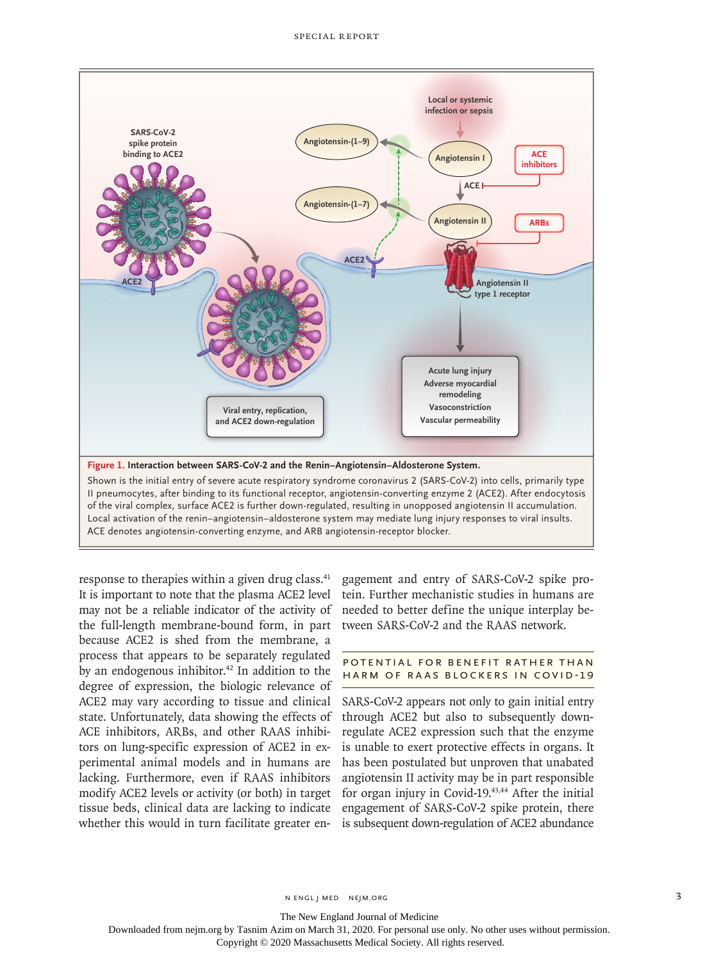

response to therapies within a given drug class.<sup>41</sup> It is important to note that the plasma ACE2 level may not be a reliable indicator of the activity of the full-length membrane-bound form, in part because ACE2 is shed from the membrane, a process that appears to be separately regulated by an endogenous inhibitor. $42$  In addition to the degree of expression, the biologic relevance of ACE2 may vary according to tissue and clinical state. Unfortunately, data showing the effects of ACE inhibitors, ARBs, and other RAAS inhibitors on lung-specific expression of ACE2 in experimental animal models and in humans are lacking. Furthermore, even if RAAS inhibitors modify ACE2 levels or activity (or both) in target tissue beds, clinical data are lacking to indicate whether this would in turn facilitate greater engagement and entry of SARS-CoV-2 spike protein. Further mechanistic studies in humans are needed to better define the unique interplay between SARS-CoV-2 and the RAAS network.

#### POTENTIAL FOR BENEFIT RATHER THAN Harm of RAAS Blockers in Covid-19

SARS-CoV-2 appears not only to gain initial entry through ACE2 but also to subsequently downregulate ACE2 expression such that the enzyme is unable to exert protective effects in organs. It has been postulated but unproven that unabated angiotensin II activity may be in part responsible for organ injury in Covid-19.<sup>43,44</sup> After the initial engagement of SARS-CoV-2 spike protein, there is subsequent down-regulation of ACE2 abundance

The New England Journal of Medicine

Downloaded from nejm.org by Tasnim Azim on March 31, 2020. For personal use only. No other uses without permission.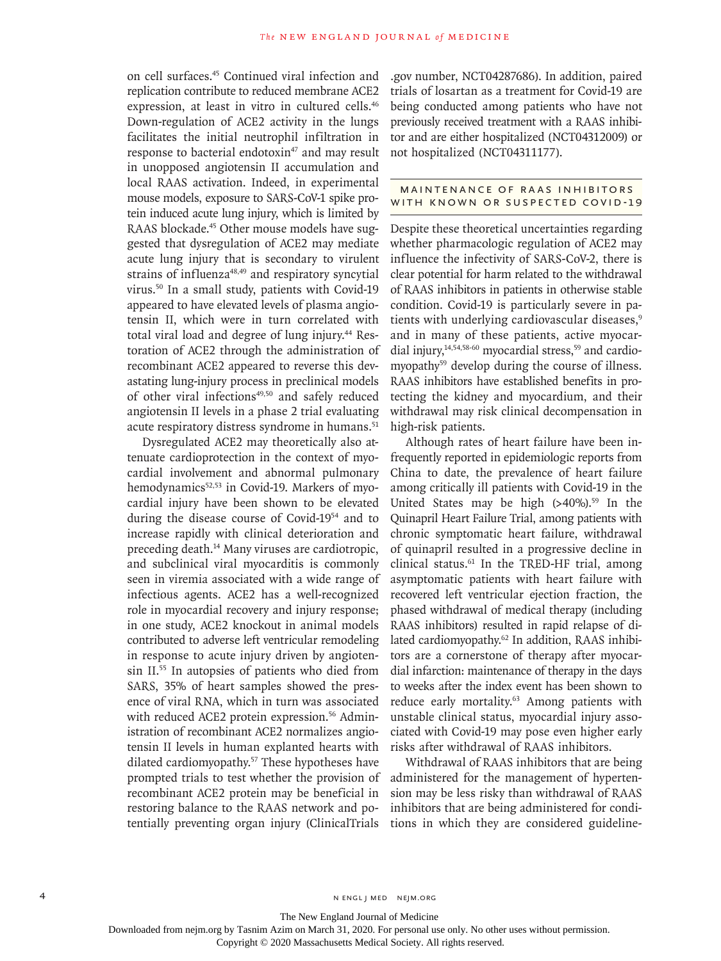on cell surfaces.45 Continued viral infection and replication contribute to reduced membrane ACE2 expression, at least in vitro in cultured cells.<sup>46</sup> Down-regulation of ACE2 activity in the lungs facilitates the initial neutrophil infiltration in response to bacterial endotoxin<sup>47</sup> and may result in unopposed angiotensin II accumulation and local RAAS activation. Indeed, in experimental mouse models, exposure to SARS-CoV-1 spike protein induced acute lung injury, which is limited by RAAS blockade.<sup>45</sup> Other mouse models have suggested that dysregulation of ACE2 may mediate acute lung injury that is secondary to virulent strains of influenza<sup>48,49</sup> and respiratory syncytial virus.50 In a small study, patients with Covid-19 appeared to have elevated levels of plasma angiotensin II, which were in turn correlated with total viral load and degree of lung injury.<sup>44</sup> Restoration of ACE2 through the administration of recombinant ACE2 appeared to reverse this devastating lung-injury process in preclinical models of other viral infections<sup>49,50</sup> and safely reduced angiotensin II levels in a phase 2 trial evaluating acute respiratory distress syndrome in humans.<sup>51</sup>

Dysregulated ACE2 may theoretically also attenuate cardioprotection in the context of myocardial involvement and abnormal pulmonary hemodynamics<sup>52,53</sup> in Covid-19. Markers of myocardial injury have been shown to be elevated during the disease course of Covid-1954 and to increase rapidly with clinical deterioration and preceding death.<sup>14</sup> Many viruses are cardiotropic, and subclinical viral myocarditis is commonly seen in viremia associated with a wide range of infectious agents. ACE2 has a well-recognized role in myocardial recovery and injury response; in one study, ACE2 knockout in animal models contributed to adverse left ventricular remodeling in response to acute injury driven by angiotensin II.55 In autopsies of patients who died from SARS, 35% of heart samples showed the presence of viral RNA, which in turn was associated with reduced ACE2 protein expression.<sup>56</sup> Administration of recombinant ACE2 normalizes angiotensin II levels in human explanted hearts with dilated cardiomyopathy.57 These hypotheses have prompted trials to test whether the provision of recombinant ACE2 protein may be beneficial in restoring balance to the RAAS network and potentially preventing organ injury (ClinicalTrials

.gov number, NCT04287686). In addition, paired trials of losartan as a treatment for Covid-19 are being conducted among patients who have not previously received treatment with a RAAS inhibitor and are either hospitalized (NCT04312009) or not hospitalized (NCT04311177).

#### MAINTENANCE OF RAAS INHIBITORS WITH KNOWN OR SUSPECTED COVID-19

Despite these theoretical uncertainties regarding whether pharmacologic regulation of ACE2 may influence the infectivity of SARS-CoV-2, there is clear potential for harm related to the withdrawal of RAAS inhibitors in patients in otherwise stable condition. Covid-19 is particularly severe in patients with underlying cardiovascular diseases,<sup>9</sup> and in many of these patients, active myocardial injury, $14,54,58-60$  myocardial stress, $59$  and cardiomyopathy<sup>59</sup> develop during the course of illness. RAAS inhibitors have established benefits in protecting the kidney and myocardium, and their withdrawal may risk clinical decompensation in high-risk patients.

Although rates of heart failure have been infrequently reported in epidemiologic reports from China to date, the prevalence of heart failure among critically ill patients with Covid-19 in the United States may be high  $(>40\%)$ .<sup>59</sup> In the Quinapril Heart Failure Trial, among patients with chronic symptomatic heart failure, withdrawal of quinapril resulted in a progressive decline in clinical status.<sup>61</sup> In the TRED-HF trial, among asymptomatic patients with heart failure with recovered left ventricular ejection fraction, the phased withdrawal of medical therapy (including RAAS inhibitors) resulted in rapid relapse of dilated cardiomyopathy.<sup>62</sup> In addition, RAAS inhibitors are a cornerstone of therapy after myocardial infarction: maintenance of therapy in the days to weeks after the index event has been shown to reduce early mortality.<sup>63</sup> Among patients with unstable clinical status, myocardial injury associated with Covid-19 may pose even higher early risks after withdrawal of RAAS inhibitors.

Withdrawal of RAAS inhibitors that are being administered for the management of hypertension may be less risky than withdrawal of RAAS inhibitors that are being administered for conditions in which they are considered guideline-

The New England Journal of Medicine

Downloaded from nejm.org by Tasnim Azim on March 31, 2020. For personal use only. No other uses without permission.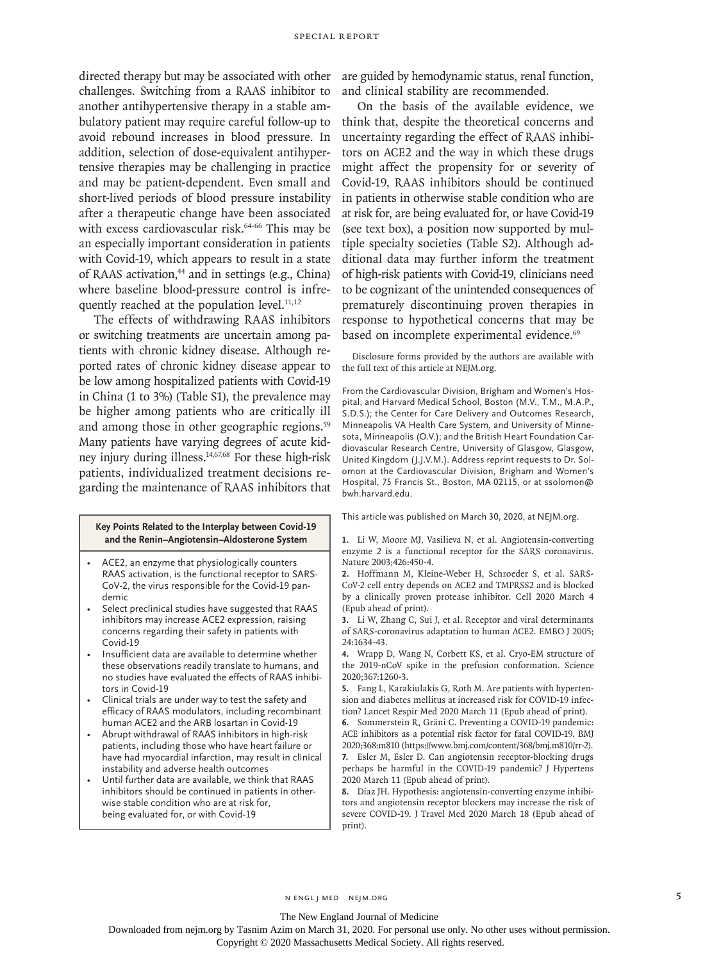challenges. Switching from a RAAS inhibitor to another antihypertensive therapy in a stable ambulatory patient may require careful follow-up to avoid rebound increases in blood pressure. In addition, selection of dose-equivalent antihypertensive therapies may be challenging in practice and may be patient-dependent. Even small and short-lived periods of blood pressure instability after a therapeutic change have been associated with excess cardiovascular risk.<sup>64-66</sup> This may be an especially important consideration in patients with Covid-19, which appears to result in a state of RAAS activation,<sup>44</sup> and in settings (e.g., China) where baseline blood-pressure control is infrequently reached at the population level. $11,12$ 

The effects of withdrawing RAAS inhibitors or switching treatments are uncertain among patients with chronic kidney disease. Although reported rates of chronic kidney disease appear to be low among hospitalized patients with Covid-19 in China (1 to 3%) (Table S1), the prevalence may be higher among patients who are critically ill and among those in other geographic regions.<sup>59</sup> Many patients have varying degrees of acute kidney injury during illness.14,67,68 For these high-risk patients, individualized treatment decisions regarding the maintenance of RAAS inhibitors that

#### **Key Points Related to the Interplay between Covid-19 and the Renin–Angiotensin–Aldosterone System**

- ACE2, an enzyme that physiologically counters RAAS activation, is the functional receptor to SARS-CoV-2, the virus responsible for the Covid-19 pandemic
- Select preclinical studies have suggested that RAAS inhibitors may increase ACE2 expression, raising concerns regarding their safety in patients with Covid-19
- Insufficient data are available to determine whether these observations readily translate to humans, and no studies have evaluated the effects of RAAS inhibitors in Covid-19
- Clinical trials are under way to test the safety and efficacy of RAAS modulators, including recombinant human ACE2 and the ARB losartan in Covid-19
- Abrupt withdrawal of RAAS inhibitors in high-risk patients, including those who have heart failure or have had myocardial infarction, may result in clinical instability and adverse health outcomes
- Until further data are available, we think that RAAS inhibitors should be continued in patients in otherwise stable condition who are at risk for, being evaluated for, or with Covid-19

directed therapy but may be associated with other are guided by hemodynamic status, renal function, and clinical stability are recommended.

> On the basis of the available evidence, we think that, despite the theoretical concerns and uncertainty regarding the effect of RAAS inhibitors on ACE2 and the way in which these drugs might affect the propensity for or severity of Covid-19, RAAS inhibitors should be continued in patients in otherwise stable condition who are at risk for, are being evaluated for, or have Covid-19 (see text box), a position now supported by multiple specialty societies (Table S2). Although additional data may further inform the treatment of high-risk patients with Covid-19, clinicians need to be cognizant of the unintended consequences of prematurely discontinuing proven therapies in response to hypothetical concerns that may be based on incomplete experimental evidence.<sup>69</sup>

> Disclosure forms provided by the authors are available with the full text of this article at NEJM.org.

> From the Cardiovascular Division, Brigham and Women's Hospital, and Harvard Medical School, Boston (M.V., T.M., M.A.P., S.D.S.); the Center for Care Delivery and Outcomes Research, Minneapolis VA Health Care System, and University of Minnesota, Minneapolis (O.V.); and the British Heart Foundation Cardiovascular Research Centre, University of Glasgow, Glasgow, United Kingdom (J.J.V.M.). Address reprint requests to Dr. Solomon at the Cardiovascular Division, Brigham and Women's Hospital, 75 Francis St., Boston, MA 02115, or at ssolomon@ bwh.harvard.edu.

This article was published on March 30, 2020, at NEJM.org.

**1.** Li W, Moore MJ, Vasilieva N, et al. Angiotensin-converting enzyme 2 is a functional receptor for the SARS coronavirus. Nature 2003;426:450-4.

**2.** Hoffmann M, Kleine-Weber H, Schroeder S, et al. SARS-CoV-2 cell entry depends on ACE2 and TMPRSS2 and is blocked by a clinically proven protease inhibitor. Cell 2020 March 4 (Epub ahead of print).

**3.** Li W, Zhang C, Sui J, et al. Receptor and viral determinants of SARS-coronavirus adaptation to human ACE2. EMBO J 2005; 24:1634-43.

**4.** Wrapp D, Wang N, Corbett KS, et al. Cryo-EM structure of the 2019-nCoV spike in the prefusion conformation. Science 2020;367:1260-3.

**5.** Fang L, Karakiulakis G, Roth M. Are patients with hypertension and diabetes mellitus at increased risk for COVID-19 infection? Lancet Respir Med 2020 March 11 (Epub ahead of print).

**6.** Sommerstein R, Gräni C. Preventing a COVID-19 pandemic: ACE inhibitors as a potential risk factor for fatal COVID-19. BMJ 2020;368:m810 (https://www.bmj.com/content/368/bmj.m810/rr-2).

**7.** Esler M, Esler D. Can angiotensin receptor-blocking drugs perhaps be harmful in the COVID-19 pandemic? J Hypertens 2020 March 11 (Epub ahead of print).

**8.** Diaz JH. Hypothesis: angiotensin-converting enzyme inhibitors and angiotensin receptor blockers may increase the risk of severe COVID-19. J Travel Med 2020 March 18 (Epub ahead of print).

The New England Journal of Medicine

Downloaded from nejm.org by Tasnim Azim on March 31, 2020. For personal use only. No other uses without permission.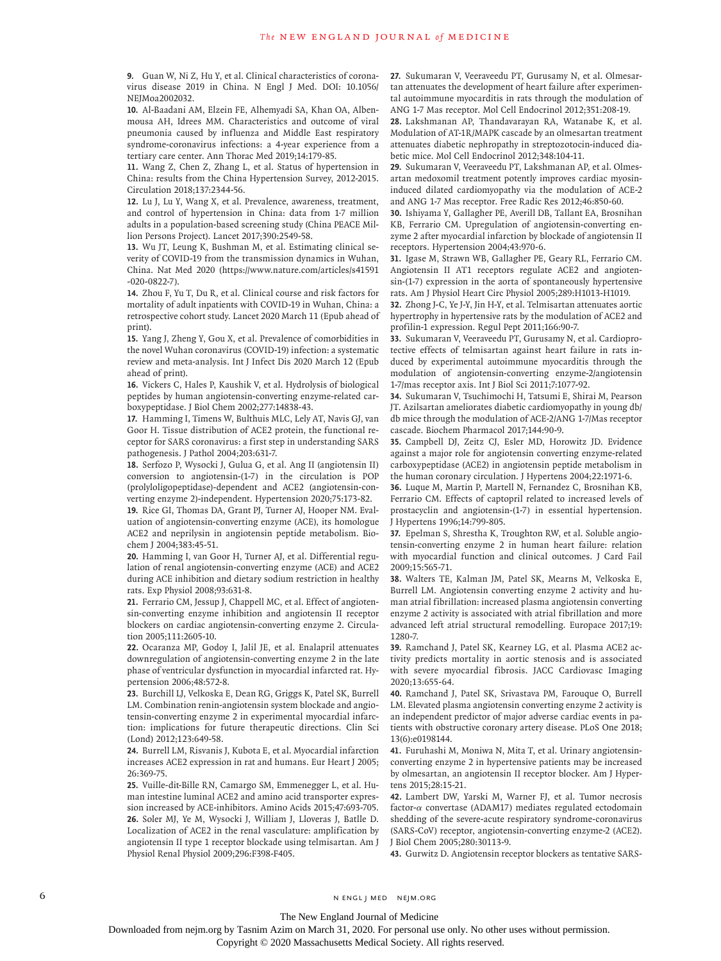**9.** Guan W, Ni Z, Hu Y, et al. Clinical characteristics of coronavirus disease 2019 in China. N Engl J Med. DOI: 10.1056/ NEJMoa2002032.

**10.** Al-Baadani AM, Elzein FE, Alhemyadi SA, Khan OA, Albenmousa AH, Idrees MM. Characteristics and outcome of viral pneumonia caused by influenza and Middle East respiratory syndrome-coronavirus infections: a 4-year experience from a tertiary care center. Ann Thorac Med 2019;14:179-85.

**11.** Wang Z, Chen Z, Zhang L, et al. Status of hypertension in China: results from the China Hypertension Survey, 2012-2015. Circulation 2018;137:2344-56.

**12.** Lu J, Lu Y, Wang X, et al. Prevalence, awareness, treatment, and control of hypertension in China: data from 1·7 million adults in a population-based screening study (China PEACE Million Persons Project). Lancet 2017;390:2549-58.

**13.** Wu JT, Leung K, Bushman M, et al. Estimating clinical severity of COVID-19 from the transmission dynamics in Wuhan, China. Nat Med 2020 (https://www.nature.com/articles/s41591 -020-0822-7).

**14.** Zhou F, Yu T, Du R, et al. Clinical course and risk factors for mortality of adult inpatients with COVID-19 in Wuhan, China: a retrospective cohort study. Lancet 2020 March 11 (Epub ahead of print).

**15.** Yang J, Zheng Y, Gou X, et al. Prevalence of comorbidities in the novel Wuhan coronavirus (COVID-19) infection: a systematic review and meta-analysis. Int J Infect Dis 2020 March 12 (Epub ahead of print).

**16.** Vickers C, Hales P, Kaushik V, et al. Hydrolysis of biological peptides by human angiotensin-converting enzyme-related carboxypeptidase. J Biol Chem 2002;277:14838-43.

**17.** Hamming I, Timens W, Bulthuis MLC, Lely AT, Navis GJ, van Goor H. Tissue distribution of ACE2 protein, the functional receptor for SARS coronavirus: a first step in understanding SARS pathogenesis. J Pathol 2004;203:631-7.

**18.** Serfozo P, Wysocki J, Gulua G, et al. Ang II (angiotensin II) conversion to angiotensin-(1-7) in the circulation is POP (prolyloligopeptidase)-dependent and ACE2 (angiotensin-converting enzyme 2)-independent. Hypertension 2020;75:173-82. **19.** Rice GI, Thomas DA, Grant PJ, Turner AJ, Hooper NM. Evaluation of angiotensin-converting enzyme (ACE), its homologue

ACE2 and neprilysin in angiotensin peptide metabolism. Biochem J 2004;383:45-51.

**20.** Hamming I, van Goor H, Turner AJ, et al. Differential regulation of renal angiotensin-converting enzyme (ACE) and ACE2 during ACE inhibition and dietary sodium restriction in healthy rats. Exp Physiol 2008;93:631-8.

**21.** Ferrario CM, Jessup J, Chappell MC, et al. Effect of angiotensin-converting enzyme inhibition and angiotensin II receptor blockers on cardiac angiotensin-converting enzyme 2. Circulation 2005;111:2605-10.

**22.** Ocaranza MP, Godoy I, Jalil JE, et al. Enalapril attenuates downregulation of angiotensin-converting enzyme 2 in the late phase of ventricular dysfunction in myocardial infarcted rat. Hypertension 2006;48:572-8.

**23.** Burchill LJ, Velkoska E, Dean RG, Griggs K, Patel SK, Burrell LM. Combination renin-angiotensin system blockade and angiotensin-converting enzyme 2 in experimental myocardial infarction: implications for future therapeutic directions. Clin Sci (Lond) 2012;123:649-58.

**24.** Burrell LM, Risvanis J, Kubota E, et al. Myocardial infarction increases ACE2 expression in rat and humans. Eur Heart J 2005; 26:369-75.

**25.** Vuille-dit-Bille RN, Camargo SM, Emmenegger L, et al. Human intestine luminal ACE2 and amino acid transporter expression increased by ACE-inhibitors. Amino Acids 2015;47:693-705. **26.** Soler MJ, Ye M, Wysocki J, William J, Lloveras J, Batlle D. Localization of ACE2 in the renal vasculature: amplification by angiotensin II type 1 receptor blockade using telmisartan. Am J Physiol Renal Physiol 2009;296:F398-F405.

**27.** Sukumaran V, Veeraveedu PT, Gurusamy N, et al. Olmesartan attenuates the development of heart failure after experimental autoimmune myocarditis in rats through the modulation of ANG 1-7 Mas receptor. Mol Cell Endocrinol 2012;351:208-19.

**28.** Lakshmanan AP, Thandavarayan RA, Watanabe K, et al. Modulation of AT-1R/MAPK cascade by an olmesartan treatment attenuates diabetic nephropathy in streptozotocin-induced diabetic mice. Mol Cell Endocrinol 2012;348:104-11.

**29.** Sukumaran V, Veeraveedu PT, Lakshmanan AP, et al. Olmesartan medoxomil treatment potently improves cardiac myosininduced dilated cardiomyopathy via the modulation of ACE-2 and ANG 1-7 Mas receptor. Free Radic Res 2012;46:850-60.

**30.** Ishiyama Y, Gallagher PE, Averill DB, Tallant EA, Brosnihan KB, Ferrario CM. Upregulation of angiotensin-converting enzyme 2 after myocardial infarction by blockade of angiotensin II receptors. Hypertension 2004;43:970-6.

**31.** Igase M, Strawn WB, Gallagher PE, Geary RL, Ferrario CM. Angiotensin II AT1 receptors regulate ACE2 and angiotensin-(1-7) expression in the aorta of spontaneously hypertensive rats. Am J Physiol Heart Circ Physiol 2005;289:H1013-H1019.

**32.** Zhong J-C, Ye J-Y, Jin H-Y, et al. Telmisartan attenuates aortic hypertrophy in hypertensive rats by the modulation of ACE2 and profilin-1 expression. Regul Pept 2011;166:90-7.

**33.** Sukumaran V, Veeraveedu PT, Gurusamy N, et al. Cardioprotective effects of telmisartan against heart failure in rats induced by experimental autoimmune myocarditis through the modulation of angiotensin-converting enzyme-2/angiotensin 1-7/mas receptor axis. Int J Biol Sci 2011;7:1077-92.

**34.** Sukumaran V, Tsuchimochi H, Tatsumi E, Shirai M, Pearson JT. Azilsartan ameliorates diabetic cardiomyopathy in young db/ db mice through the modulation of ACE-2/ANG 1-7/Mas receptor cascade. Biochem Pharmacol 2017;144:90-9.

**35.** Campbell DJ, Zeitz CJ, Esler MD, Horowitz JD. Evidence against a major role for angiotensin converting enzyme-related carboxypeptidase (ACE2) in angiotensin peptide metabolism in the human coronary circulation. J Hypertens 2004;22:1971-6.

**36.** Luque M, Martin P, Martell N, Fernandez C, Brosnihan KB, Ferrario CM. Effects of captopril related to increased levels of prostacyclin and angiotensin-(1-7) in essential hypertension. J Hypertens 1996;14:799-805.

**37.** Epelman S, Shrestha K, Troughton RW, et al. Soluble angiotensin-converting enzyme 2 in human heart failure: relation with myocardial function and clinical outcomes. J Card Fail 2009;15:565-71.

**38.** Walters TE, Kalman JM, Patel SK, Mearns M, Velkoska E, Burrell LM. Angiotensin converting enzyme 2 activity and human atrial fibrillation: increased plasma angiotensin converting enzyme 2 activity is associated with atrial fibrillation and more advanced left atrial structural remodelling. Europace 2017;19: 1280-7.

**39.** Ramchand J, Patel SK, Kearney LG, et al. Plasma ACE2 activity predicts mortality in aortic stenosis and is associated with severe myocardial fibrosis. JACC Cardiovasc Imaging 2020;13:655-64.

**40.** Ramchand J, Patel SK, Srivastava PM, Farouque O, Burrell LM. Elevated plasma angiotensin converting enzyme 2 activity is an independent predictor of major adverse cardiac events in patients with obstructive coronary artery disease. PLoS One 2018; 13(6):e0198144.

**41.** Furuhashi M, Moniwa N, Mita T, et al. Urinary angiotensinconverting enzyme 2 in hypertensive patients may be increased by olmesartan, an angiotensin II receptor blocker. Am J Hypertens 2015;28:15-21.

**42.** Lambert DW, Yarski M, Warner FJ, et al. Tumor necrosis factor-α convertase (ADAM17) mediates regulated ectodomain shedding of the severe-acute respiratory syndrome-coronavirus (SARS-CoV) receptor, angiotensin-converting enzyme-2 (ACE2). J Biol Chem 2005;280:30113-9.

**43.** Gurwitz D. Angiotensin receptor blockers as tentative SARS-

6 **n** engl j med nejm.org neighbors in the neutral media  $\frac{1}{2}$  media  $\frac{1}{2}$  media  $\frac{1}{2}$  media  $\frac{1}{2}$  media  $\frac{1}{2}$  media  $\frac{1}{2}$  media  $\frac{1}{2}$  media  $\frac{1}{2}$  media  $\frac{1}{2}$  media  $\frac{1}{2}$  media  $\frac{1$